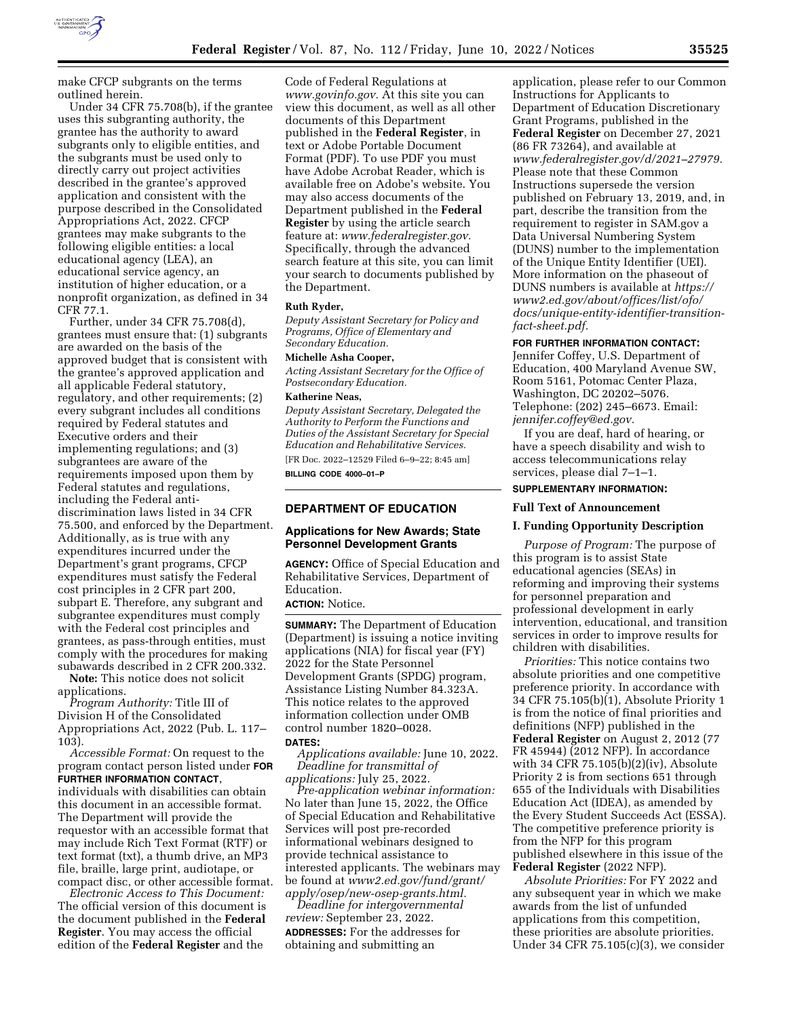

make CFCP subgrants on the terms outlined herein.

Under 34 CFR 75.708(b), if the grantee uses this subgranting authority, the grantee has the authority to award subgrants only to eligible entities, and the subgrants must be used only to directly carry out project activities described in the grantee's approved application and consistent with the purpose described in the Consolidated Appropriations Act, 2022. CFCP grantees may make subgrants to the following eligible entities: a local educational agency (LEA), an educational service agency, an institution of higher education, or a nonprofit organization, as defined in 34 CFR 77.1.

Further, under 34 CFR 75.708(d), grantees must ensure that: (1) subgrants are awarded on the basis of the approved budget that is consistent with the grantee's approved application and all applicable Federal statutory, regulatory, and other requirements; (2) every subgrant includes all conditions required by Federal statutes and Executive orders and their implementing regulations; and (3) subgrantees are aware of the requirements imposed upon them by Federal statutes and regulations, including the Federal antidiscrimination laws listed in 34 CFR 75.500, and enforced by the Department. Additionally, as is true with any expenditures incurred under the Department's grant programs, CFCP expenditures must satisfy the Federal cost principles in 2 CFR part 200, subpart E. Therefore, any subgrant and subgrantee expenditures must comply with the Federal cost principles and grantees, as pass-through entities, must comply with the procedures for making subawards described in 2 CFR 200.332.

**Note:** This notice does not solicit applications.

*Program Authority:* Title III of Division H of the Consolidated Appropriations Act, 2022 (Pub. L. 117– 103).

*Accessible Format:* On request to the program contact person listed under **FOR FURTHER INFORMATION CONTACT**, individuals with disabilities can obtain this document in an accessible format. The Department will provide the requestor with an accessible format that may include Rich Text Format (RTF) or text format (txt), a thumb drive, an MP3 file, braille, large print, audiotape, or compact disc, or other accessible format.

*Electronic Access to This Document:*  The official version of this document is the document published in the **Federal Register**. You may access the official edition of the **Federal Register** and the

Code of Federal Regulations at *[www.govinfo.gov.](http://www.govinfo.gov)* At this site you can view this document, as well as all other documents of this Department published in the **Federal Register**, in text or Adobe Portable Document Format (PDF). To use PDF you must have Adobe Acrobat Reader, which is available free on Adobe's website. You may also access documents of the Department published in the **Federal Register** by using the article search feature at: *[www.federalregister.gov.](http://www.federalregister.gov)*  Specifically, through the advanced search feature at this site, you can limit your search to documents published by the Department.

#### **Ruth Ryder,**

*Deputy Assistant Secretary for Policy and Programs, Office of Elementary and Secondary Education.* 

### **Michelle Asha Cooper,**

*Acting Assistant Secretary for the Office of Postsecondary Education.* 

## **Katherine Neas,**

*Deputy Assistant Secretary, Delegated the Authority to Perform the Functions and Duties of the Assistant Secretary for Special Education and Rehabilitative Services.*  [FR Doc. 2022–12529 Filed 6–9–22; 8:45 am]

**BILLING CODE 4000–01–P** 

## **DEPARTMENT OF EDUCATION**

### **Applications for New Awards; State Personnel Development Grants**

**AGENCY:** Office of Special Education and Rehabilitative Services, Department of Education.

### **ACTION:** Notice.

**SUMMARY:** The Department of Education (Department) is issuing a notice inviting applications (NIA) for fiscal year (FY) 2022 for the State Personnel Development Grants (SPDG) program, Assistance Listing Number 84.323A. This notice relates to the approved information collection under OMB control number 1820–0028.

#### **DATES:**

*Applications available:* June 10, 2022. *Deadline for transmittal of applications:* July 25, 2022.

*Pre-application webinar information:*  No later than June 15, 2022, the Office of Special Education and Rehabilitative Services will post pre-recorded informational webinars designed to provide technical assistance to interested applicants. The webinars may be found at *[www2.ed.gov/fund/grant/](http://www2.ed.gov/fund/grant/apply/osep/new-osep-grants.html)  [apply/osep/new-osep-grants.html.](http://www2.ed.gov/fund/grant/apply/osep/new-osep-grants.html)* 

*Deadline for intergovernmental review:* September 23, 2022. **ADDRESSES:** For the addresses for obtaining and submitting an

application, please refer to our Common Instructions for Applicants to Department of Education Discretionary Grant Programs, published in the **Federal Register** on December 27, 2021 (86 FR 73264), and available at *[www.federalregister.gov/d/2021–27979.](http://www.federalregister.gov/d/2021-27979)*  Please note that these Common Instructions supersede the version published on February 13, 2019, and, in part, describe the transition from the requirement to register in SAM.gov a Data Universal Numbering System (DUNS) number to the implementation of the Unique Entity Identifier (UEI). More information on the phaseout of DUNS numbers is available at *[https://](https://www2.ed.gov/about/offices/list/ofo/docs/unique-entity-identifier-transition-fact-sheet.pdf) [www2.ed.gov/about/offices/list/ofo/](https://www2.ed.gov/about/offices/list/ofo/docs/unique-entity-identifier-transition-fact-sheet.pdf) [docs/unique-entity-identifier-transition](https://www2.ed.gov/about/offices/list/ofo/docs/unique-entity-identifier-transition-fact-sheet.pdf)[fact-sheet.pdf.](https://www2.ed.gov/about/offices/list/ofo/docs/unique-entity-identifier-transition-fact-sheet.pdf)* 

## **FOR FURTHER INFORMATION CONTACT:**

Jennifer Coffey, U.S. Department of Education, 400 Maryland Avenue SW, Room 5161, Potomac Center Plaza, Washington, DC 20202–5076. Telephone: (202) 245–6673. Email: *[jennifer.coffey@ed.gov.](mailto:jennifer.coffey@ed.gov)* 

If you are deaf, hard of hearing, or have a speech disability and wish to access telecommunications relay services, please dial 7–1–1.

## **SUPPLEMENTARY INFORMATION:**

# **Full Text of Announcement**

## **I. Funding Opportunity Description**

*Purpose of Program:* The purpose of this program is to assist State educational agencies (SEAs) in reforming and improving their systems for personnel preparation and professional development in early intervention, educational, and transition services in order to improve results for children with disabilities.

*Priorities:* This notice contains two absolute priorities and one competitive preference priority. In accordance with 34 CFR 75.105(b)(1), Absolute Priority 1 is from the notice of final priorities and definitions (NFP) published in the **Federal Register** on August 2, 2012 (77 FR 45944) (2012 NFP). In accordance with 34 CFR 75.105(b)(2)(iv), Absolute Priority 2 is from sections 651 through 655 of the Individuals with Disabilities Education Act (IDEA), as amended by the Every Student Succeeds Act (ESSA). The competitive preference priority is from the NFP for this program published elsewhere in this issue of the **Federal Register** (2022 NFP).

*Absolute Priorities:* For FY 2022 and any subsequent year in which we make awards from the list of unfunded applications from this competition, these priorities are absolute priorities. Under 34 CFR 75.105(c)(3), we consider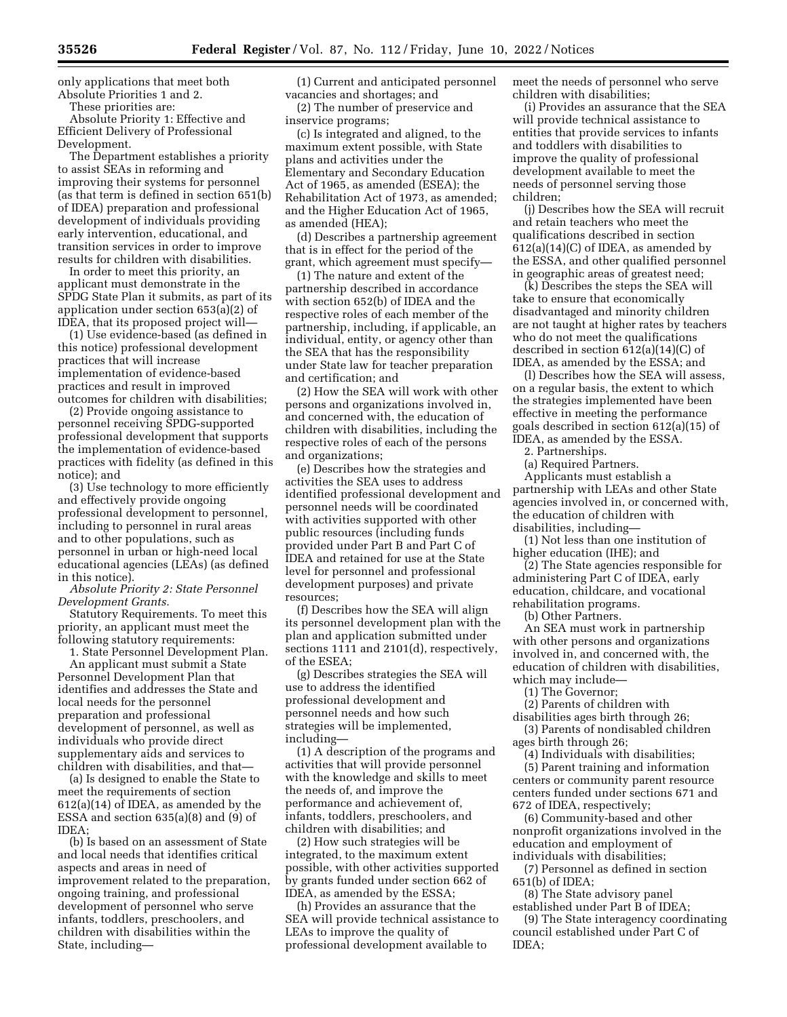only applications that meet both Absolute Priorities 1 and 2.

These priorities are:

Absolute Priority 1: Effective and Efficient Delivery of Professional Development.

The Department establishes a priority to assist SEAs in reforming and improving their systems for personnel (as that term is defined in section 651(b) of IDEA) preparation and professional development of individuals providing early intervention, educational, and transition services in order to improve results for children with disabilities.

In order to meet this priority, an applicant must demonstrate in the SPDG State Plan it submits, as part of its application under section 653(a)(2) of IDEA, that its proposed project will—

(1) Use evidence-based (as defined in this notice) professional development practices that will increase implementation of evidence-based practices and result in improved outcomes for children with disabilities;

(2) Provide ongoing assistance to personnel receiving SPDG-supported professional development that supports the implementation of evidence-based practices with fidelity (as defined in this notice); and

(3) Use technology to more efficiently and effectively provide ongoing professional development to personnel, including to personnel in rural areas and to other populations, such as personnel in urban or high-need local educational agencies (LEAs) (as defined in this notice).

*Absolute Priority 2: State Personnel Development Grants.* 

Statutory Requirements. To meet this priority, an applicant must meet the following statutory requirements:

1. State Personnel Development Plan. An applicant must submit a State Personnel Development Plan that identifies and addresses the State and local needs for the personnel preparation and professional development of personnel, as well as individuals who provide direct supplementary aids and services to children with disabilities, and that—

(a) Is designed to enable the State to meet the requirements of section 612(a)(14) of IDEA, as amended by the ESSA and section  $635(a)(8)$  and  $(9)$  of IDEA;

(b) Is based on an assessment of State and local needs that identifies critical aspects and areas in need of improvement related to the preparation, ongoing training, and professional development of personnel who serve infants, toddlers, preschoolers, and children with disabilities within the State, including—

(1) Current and anticipated personnel vacancies and shortages; and

(2) The number of preservice and inservice programs;

(c) Is integrated and aligned, to the maximum extent possible, with State plans and activities under the Elementary and Secondary Education Act of 1965, as amended (ESEA); the Rehabilitation Act of 1973, as amended; and the Higher Education Act of 1965, as amended (HEA);

(d) Describes a partnership agreement that is in effect for the period of the grant, which agreement must specify—

(1) The nature and extent of the partnership described in accordance with section 652(b) of IDEA and the respective roles of each member of the partnership, including, if applicable, an individual, entity, or agency other than the SEA that has the responsibility under State law for teacher preparation and certification; and

(2) How the SEA will work with other persons and organizations involved in, and concerned with, the education of children with disabilities, including the respective roles of each of the persons and organizations;

(e) Describes how the strategies and activities the SEA uses to address identified professional development and personnel needs will be coordinated with activities supported with other public resources (including funds provided under Part B and Part C of IDEA and retained for use at the State level for personnel and professional development purposes) and private resources;

(f) Describes how the SEA will align its personnel development plan with the plan and application submitted under sections 1111 and 2101(d), respectively, of the ESEA;

(g) Describes strategies the SEA will use to address the identified professional development and personnel needs and how such strategies will be implemented, including—

(1) A description of the programs and activities that will provide personnel with the knowledge and skills to meet the needs of, and improve the performance and achievement of, infants, toddlers, preschoolers, and children with disabilities; and

(2) How such strategies will be integrated, to the maximum extent possible, with other activities supported by grants funded under section 662 of IDEA, as amended by the ESSA;

(h) Provides an assurance that the SEA will provide technical assistance to LEAs to improve the quality of professional development available to

meet the needs of personnel who serve children with disabilities;

(i) Provides an assurance that the SEA will provide technical assistance to entities that provide services to infants and toddlers with disabilities to improve the quality of professional development available to meet the needs of personnel serving those children;

(j) Describes how the SEA will recruit and retain teachers who meet the qualifications described in section  $612(a)(14)(C)$  of IDEA, as amended by the ESSA, and other qualified personnel in geographic areas of greatest need;

(k) Describes the steps the SEA will take to ensure that economically disadvantaged and minority children are not taught at higher rates by teachers who do not meet the qualifications described in section 612(a)(14)(C) of IDEA, as amended by the ESSA; and

(l) Describes how the SEA will assess, on a regular basis, the extent to which the strategies implemented have been effective in meeting the performance goals described in section 612(a)(15) of IDEA, as amended by the ESSA.

2. Partnerships.

(a) Required Partners.

Applicants must establish a partnership with LEAs and other State agencies involved in, or concerned with, the education of children with disabilities, including—

(1) Not less than one institution of higher education (IHE); and

(2) The State agencies responsible for administering Part C of IDEA, early education, childcare, and vocational rehabilitation programs.

(b) Other Partners.

An SEA must work in partnership with other persons and organizations involved in, and concerned with, the education of children with disabilities, which may include—

(1) The Governor;

(2) Parents of children with

disabilities ages birth through 26; (3) Parents of nondisabled children

ages birth through 26;

(4) Individuals with disabilities; (5) Parent training and information centers or community parent resource centers funded under sections 671 and 672 of IDEA, respectively;

(6) Community-based and other nonprofit organizations involved in the education and employment of individuals with disabilities;

(7) Personnel as defined in section 651(b) of IDEA;

(8) The State advisory panel established under Part B of IDEA;

(9) The State interagency coordinating council established under Part C of IDEA;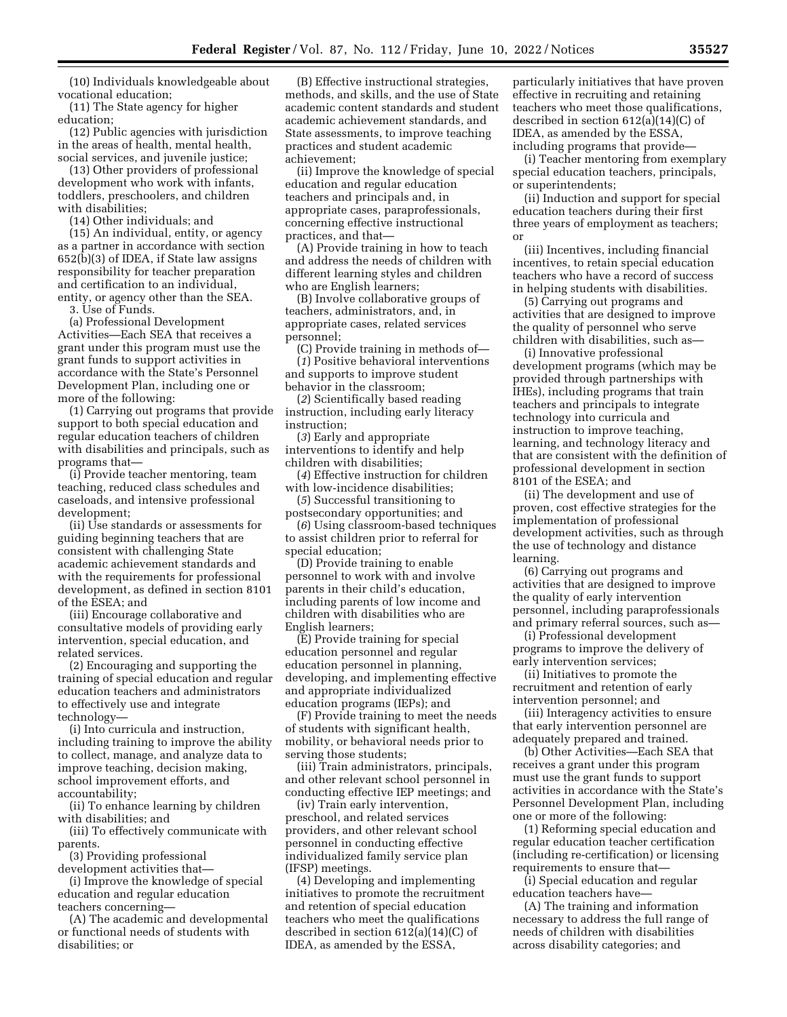(10) Individuals knowledgeable about vocational education;

(11) The State agency for higher education;

(12) Public agencies with jurisdiction in the areas of health, mental health, social services, and juvenile justice;

(13) Other providers of professional development who work with infants, toddlers, preschoolers, and children with disabilities;

(14) Other individuals; and

(15) An individual, entity, or agency as a partner in accordance with section 652(b)(3) of IDEA, if State law assigns responsibility for teacher preparation and certification to an individual, entity, or agency other than the SEA.

3. Use of Funds.

(a) Professional Development Activities—Each SEA that receives a grant under this program must use the grant funds to support activities in accordance with the State's Personnel Development Plan, including one or more of the following:

(1) Carrying out programs that provide support to both special education and regular education teachers of children with disabilities and principals, such as programs that—

(i) Provide teacher mentoring, team teaching, reduced class schedules and caseloads, and intensive professional development;

(ii) Use standards or assessments for guiding beginning teachers that are consistent with challenging State academic achievement standards and with the requirements for professional development, as defined in section 8101 of the ESEA; and

(iii) Encourage collaborative and consultative models of providing early intervention, special education, and related services.

(2) Encouraging and supporting the training of special education and regular education teachers and administrators to effectively use and integrate technology—

(i) Into curricula and instruction, including training to improve the ability to collect, manage, and analyze data to improve teaching, decision making, school improvement efforts, and accountability;

(ii) To enhance learning by children with disabilities; and

(iii) To effectively communicate with parents.

(3) Providing professional development activities that—

(i) Improve the knowledge of special education and regular education teachers concerning—

(A) The academic and developmental or functional needs of students with disabilities; or

(B) Effective instructional strategies, methods, and skills, and the use of State academic content standards and student academic achievement standards, and State assessments, to improve teaching practices and student academic achievement;

(ii) Improve the knowledge of special education and regular education teachers and principals and, in appropriate cases, paraprofessionals, concerning effective instructional practices, and that—

(A) Provide training in how to teach and address the needs of children with different learning styles and children who are English learners;

(B) Involve collaborative groups of teachers, administrators, and, in appropriate cases, related services personnel;

(C) Provide training in methods of— (*1*) Positive behavioral interventions

and supports to improve student behavior in the classroom;

(*2*) Scientifically based reading instruction, including early literacy instruction;

(*3*) Early and appropriate interventions to identify and help children with disabilities;

(*4*) Effective instruction for children with low-incidence disabilities;

(*5*) Successful transitioning to postsecondary opportunities; and

(*6*) Using classroom-based techniques to assist children prior to referral for special education;

(D) Provide training to enable personnel to work with and involve parents in their child's education, including parents of low income and children with disabilities who are English learners;

(E) Provide training for special education personnel and regular education personnel in planning, developing, and implementing effective and appropriate individualized education programs (IEPs); and

(F) Provide training to meet the needs of students with significant health, mobility, or behavioral needs prior to serving those students;

(iii) Train administrators, principals, and other relevant school personnel in conducting effective IEP meetings; and

(iv) Train early intervention, preschool, and related services providers, and other relevant school personnel in conducting effective individualized family service plan (IFSP) meetings.

(4) Developing and implementing initiatives to promote the recruitment and retention of special education teachers who meet the qualifications described in section 612(a)(14)(C) of IDEA, as amended by the ESSA,

particularly initiatives that have proven effective in recruiting and retaining teachers who meet those qualifications, described in section 612(a)(14)(C) of IDEA, as amended by the ESSA, including programs that provide—

(i) Teacher mentoring from exemplary special education teachers, principals, or superintendents;

(ii) Induction and support for special education teachers during their first three years of employment as teachers; or

(iii) Incentives, including financial incentives, to retain special education teachers who have a record of success in helping students with disabilities.

(5) Carrying out programs and activities that are designed to improve the quality of personnel who serve children with disabilities, such as—

(i) Innovative professional development programs (which may be provided through partnerships with IHEs), including programs that train teachers and principals to integrate technology into curricula and instruction to improve teaching, learning, and technology literacy and that are consistent with the definition of professional development in section 8101 of the ESEA; and

(ii) The development and use of proven, cost effective strategies for the implementation of professional development activities, such as through the use of technology and distance learning.

(6) Carrying out programs and activities that are designed to improve the quality of early intervention personnel, including paraprofessionals and primary referral sources, such as—

(i) Professional development programs to improve the delivery of early intervention services;

(ii) Initiatives to promote the recruitment and retention of early intervention personnel; and

(iii) Interagency activities to ensure that early intervention personnel are adequately prepared and trained.

(b) Other Activities—Each SEA that receives a grant under this program must use the grant funds to support activities in accordance with the State's Personnel Development Plan, including one or more of the following:

(1) Reforming special education and regular education teacher certification (including re-certification) or licensing requirements to ensure that—

(i) Special education and regular education teachers have—

(A) The training and information necessary to address the full range of needs of children with disabilities across disability categories; and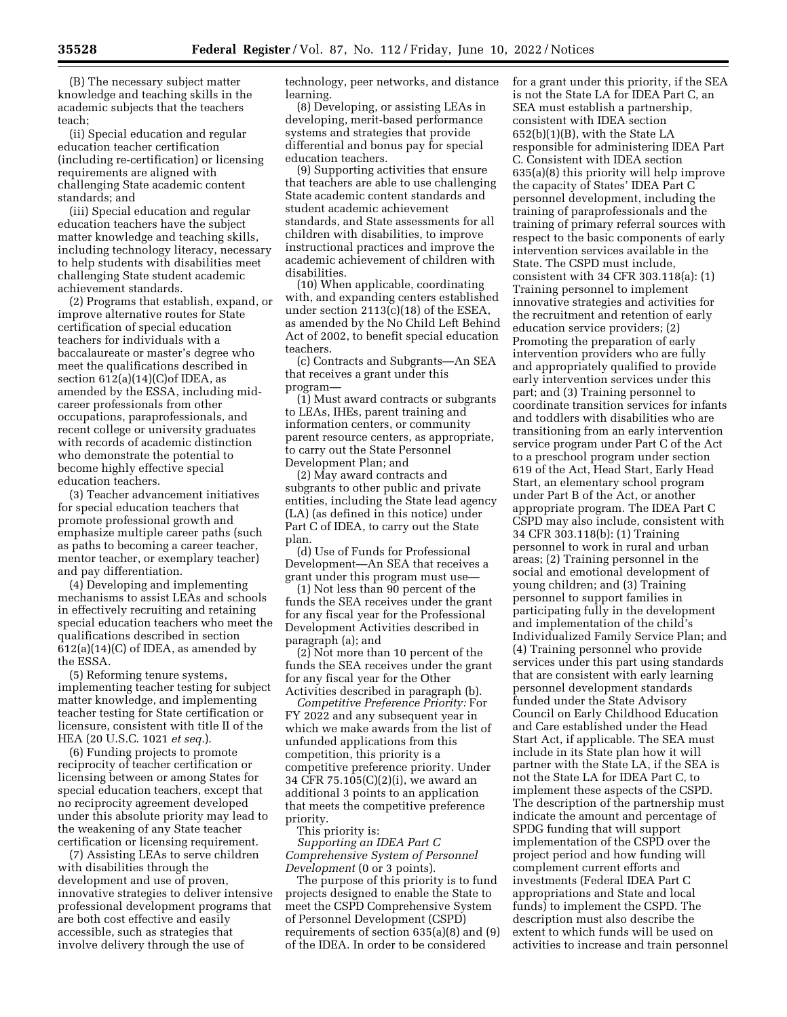(B) The necessary subject matter knowledge and teaching skills in the academic subjects that the teachers teach;

(ii) Special education and regular education teacher certification (including re-certification) or licensing requirements are aligned with challenging State academic content standards; and

(iii) Special education and regular education teachers have the subject matter knowledge and teaching skills, including technology literacy, necessary to help students with disabilities meet challenging State student academic achievement standards.

(2) Programs that establish, expand, or improve alternative routes for State certification of special education teachers for individuals with a baccalaureate or master's degree who meet the qualifications described in section  $612(a)(14)(C)$ of IDEA, as amended by the ESSA, including midcareer professionals from other occupations, paraprofessionals, and recent college or university graduates with records of academic distinction who demonstrate the potential to become highly effective special education teachers.

(3) Teacher advancement initiatives for special education teachers that promote professional growth and emphasize multiple career paths (such as paths to becoming a career teacher, mentor teacher, or exemplary teacher) and pay differentiation.

(4) Developing and implementing mechanisms to assist LEAs and schools in effectively recruiting and retaining special education teachers who meet the qualifications described in section  $612(a)(14)(C)$  of IDEA, as amended by the ESSA.

(5) Reforming tenure systems, implementing teacher testing for subject matter knowledge, and implementing teacher testing for State certification or licensure, consistent with title II of the HEA (20 U.S.C. 1021 *et seq.*).

(6) Funding projects to promote reciprocity of teacher certification or licensing between or among States for special education teachers, except that no reciprocity agreement developed under this absolute priority may lead to the weakening of any State teacher certification or licensing requirement.

(7) Assisting LEAs to serve children with disabilities through the development and use of proven, innovative strategies to deliver intensive professional development programs that are both cost effective and easily accessible, such as strategies that involve delivery through the use of

technology, peer networks, and distance learning.

(8) Developing, or assisting LEAs in developing, merit-based performance systems and strategies that provide differential and bonus pay for special education teachers.

(9) Supporting activities that ensure that teachers are able to use challenging State academic content standards and student academic achievement standards, and State assessments for all children with disabilities, to improve instructional practices and improve the academic achievement of children with disabilities.

(10) When applicable, coordinating with, and expanding centers established under section 2113(c)(18) of the ESEA, as amended by the No Child Left Behind Act of 2002, to benefit special education teachers.

(c) Contracts and Subgrants—An SEA that receives a grant under this program—

(1) Must award contracts or subgrants to LEAs, IHEs, parent training and information centers, or community parent resource centers, as appropriate, to carry out the State Personnel Development Plan; and

(2) May award contracts and subgrants to other public and private entities, including the State lead agency (LA) (as defined in this notice) under Part C of IDEA, to carry out the State plan.

(d) Use of Funds for Professional Development—An SEA that receives a grant under this program must use—

(1) Not less than 90 percent of the funds the SEA receives under the grant for any fiscal year for the Professional Development Activities described in paragraph (a); and

(2) Not more than 10 percent of the funds the SEA receives under the grant for any fiscal year for the Other Activities described in paragraph (b).

*Competitive Preference Priority:* For FY 2022 and any subsequent year in which we make awards from the list of unfunded applications from this competition, this priority is a competitive preference priority. Under 34 CFR 75.105(C)(2)(i), we award an additional 3 points to an application that meets the competitive preference priority.

This priority is:

*Supporting an IDEA Part C Comprehensive System of Personnel Development* (0 or 3 points).

The purpose of this priority is to fund projects designed to enable the State to meet the CSPD Comprehensive System of Personnel Development (CSPD) requirements of section 635(a)(8) and (9) of the IDEA. In order to be considered

for a grant under this priority, if the SEA is not the State LA for IDEA Part C, an SEA must establish a partnership, consistent with IDEA section 652(b)(1)(B), with the State LA responsible for administering IDEA Part C. Consistent with IDEA section 635(a)(8) this priority will help improve the capacity of States' IDEA Part C personnel development, including the training of paraprofessionals and the training of primary referral sources with respect to the basic components of early intervention services available in the State. The CSPD must include, consistent with 34 CFR 303.118(a): (1) Training personnel to implement innovative strategies and activities for the recruitment and retention of early education service providers; (2) Promoting the preparation of early intervention providers who are fully and appropriately qualified to provide early intervention services under this part; and (3) Training personnel to coordinate transition services for infants and toddlers with disabilities who are transitioning from an early intervention service program under Part C of the Act to a preschool program under section 619 of the Act, Head Start, Early Head Start, an elementary school program under Part B of the Act, or another appropriate program. The IDEA Part C CSPD may also include, consistent with 34 CFR 303.118(b): (1) Training personnel to work in rural and urban areas; (2) Training personnel in the social and emotional development of young children; and (3) Training personnel to support families in participating fully in the development and implementation of the child's Individualized Family Service Plan; and (4) Training personnel who provide services under this part using standards that are consistent with early learning personnel development standards funded under the State Advisory Council on Early Childhood Education and Care established under the Head Start Act, if applicable. The SEA must include in its State plan how it will partner with the State LA, if the SEA is not the State LA for IDEA Part C, to implement these aspects of the CSPD. The description of the partnership must indicate the amount and percentage of SPDG funding that will support implementation of the CSPD over the project period and how funding will complement current efforts and investments (Federal IDEA Part C appropriations and State and local funds) to implement the CSPD. The description must also describe the extent to which funds will be used on activities to increase and train personnel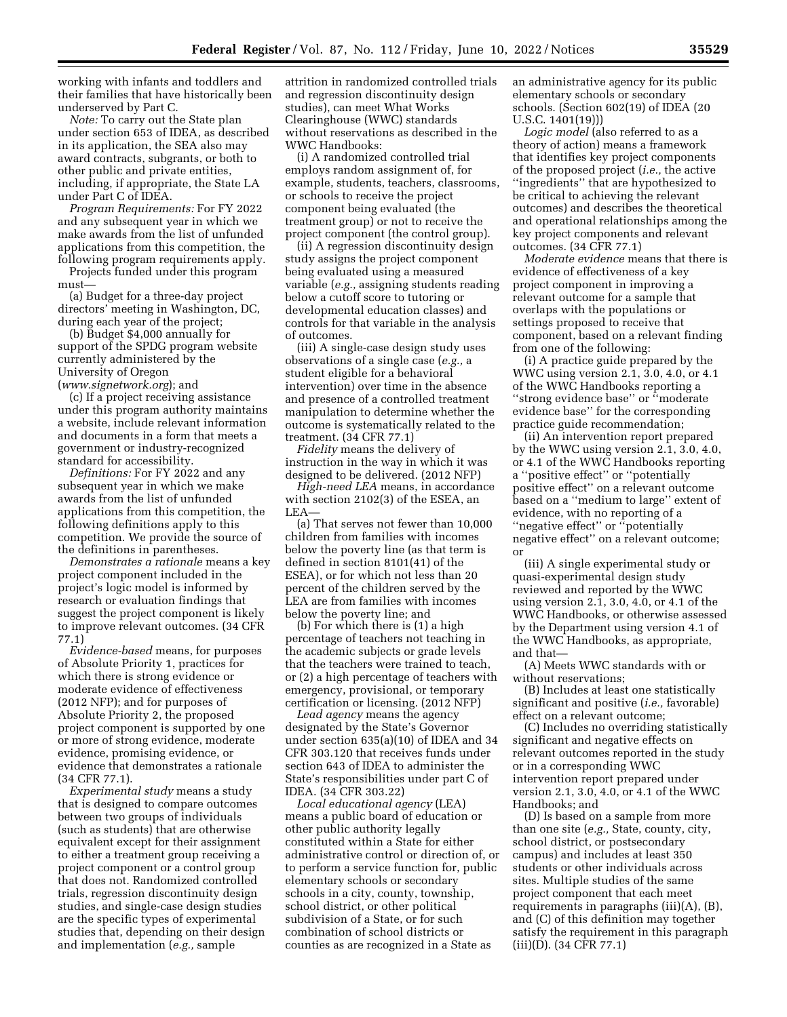working with infants and toddlers and their families that have historically been underserved by Part C.

*Note:* To carry out the State plan under section 653 of IDEA, as described in its application, the SEA also may award contracts, subgrants, or both to other public and private entities, including, if appropriate, the State LA under Part C of IDEA.

*Program Requirements:* For FY 2022 and any subsequent year in which we make awards from the list of unfunded applications from this competition, the following program requirements apply.

Projects funded under this program must—

(a) Budget for a three-day project directors' meeting in Washington, DC, during each year of the project;

(b) Budget \$4,000 annually for support of the SPDG program website currently administered by the University of Oregon

(*[www.signetwork.org](http://www.signetwork.org)*); and

(c) If a project receiving assistance under this program authority maintains a website, include relevant information and documents in a form that meets a government or industry-recognized standard for accessibility.

*Definitions:* For FY 2022 and any subsequent year in which we make awards from the list of unfunded applications from this competition, the following definitions apply to this competition. We provide the source of the definitions in parentheses.

*Demonstrates a rationale* means a key project component included in the project's logic model is informed by research or evaluation findings that suggest the project component is likely to improve relevant outcomes. (34 CFR 77.1)

*Evidence-based* means, for purposes of Absolute Priority 1, practices for which there is strong evidence or moderate evidence of effectiveness (2012 NFP); and for purposes of Absolute Priority 2, the proposed project component is supported by one or more of strong evidence, moderate evidence, promising evidence, or evidence that demonstrates a rationale (34 CFR 77.1).

*Experimental study* means a study that is designed to compare outcomes between two groups of individuals (such as students) that are otherwise equivalent except for their assignment to either a treatment group receiving a project component or a control group that does not. Randomized controlled trials, regression discontinuity design studies, and single-case design studies are the specific types of experimental studies that, depending on their design and implementation (*e.g.,* sample

attrition in randomized controlled trials and regression discontinuity design studies), can meet What Works Clearinghouse (WWC) standards without reservations as described in the WWC Handbooks:

(i) A randomized controlled trial employs random assignment of, for example, students, teachers, classrooms, or schools to receive the project component being evaluated (the treatment group) or not to receive the project component (the control group).

(ii) A regression discontinuity design study assigns the project component being evaluated using a measured variable (*e.g.,* assigning students reading below a cutoff score to tutoring or developmental education classes) and controls for that variable in the analysis of outcomes.

(iii) A single-case design study uses observations of a single case (*e.g.,* a student eligible for a behavioral intervention) over time in the absence and presence of a controlled treatment manipulation to determine whether the outcome is systematically related to the treatment. (34 CFR 77.1)

*Fidelity* means the delivery of instruction in the way in which it was designed to be delivered. (2012 NFP)

*High-need LEA* means, in accordance with section 2102(3) of the ESEA, an LEA—

(a) That serves not fewer than 10,000 children from families with incomes below the poverty line (as that term is defined in section 8101(41) of the ESEA), or for which not less than 20 percent of the children served by the LEA are from families with incomes below the poverty line; and

(b) For which there is (1) a high percentage of teachers not teaching in the academic subjects or grade levels that the teachers were trained to teach, or (2) a high percentage of teachers with emergency, provisional, or temporary certification or licensing. (2012 NFP)

*Lead agency* means the agency designated by the State's Governor under section 635(a)(10) of IDEA and 34 CFR 303.120 that receives funds under section 643 of IDEA to administer the State's responsibilities under part C of IDEA. (34 CFR 303.22)

*Local educational agency* (LEA) means a public board of education or other public authority legally constituted within a State for either administrative control or direction of, or to perform a service function for, public elementary schools or secondary schools in a city, county, township, school district, or other political subdivision of a State, or for such combination of school districts or counties as are recognized in a State as

an administrative agency for its public elementary schools or secondary schools. (Section 602(19) of IDEA (20 U.S.C. 1401(19)))

*Logic model* (also referred to as a theory of action) means a framework that identifies key project components of the proposed project (*i.e.,* the active ''ingredients'' that are hypothesized to be critical to achieving the relevant outcomes) and describes the theoretical and operational relationships among the key project components and relevant outcomes. (34 CFR 77.1)

*Moderate evidence* means that there is evidence of effectiveness of a key project component in improving a relevant outcome for a sample that overlaps with the populations or settings proposed to receive that component, based on a relevant finding from one of the following:

(i) A practice guide prepared by the WWC using version 2.1, 3.0, 4.0, or 4.1 of the WWC Handbooks reporting a ''strong evidence base'' or ''moderate evidence base'' for the corresponding practice guide recommendation;

(ii) An intervention report prepared by the WWC using version 2.1, 3.0, 4.0, or 4.1 of the WWC Handbooks reporting a ''positive effect'' or ''potentially positive effect'' on a relevant outcome based on a ''medium to large'' extent of evidence, with no reporting of a ''negative effect'' or ''potentially negative effect'' on a relevant outcome; or

(iii) A single experimental study or quasi-experimental design study reviewed and reported by the WWC using version 2.1, 3.0, 4.0, or 4.1 of the WWC Handbooks, or otherwise assessed by the Department using version 4.1 of the WWC Handbooks, as appropriate, and that—

(A) Meets WWC standards with or without reservations;

(B) Includes at least one statistically significant and positive (*i.e.,* favorable) effect on a relevant outcome;

(C) Includes no overriding statistically significant and negative effects on relevant outcomes reported in the study or in a corresponding WWC intervention report prepared under version 2.1, 3.0, 4.0, or 4.1 of the WWC Handbooks; and

(D) Is based on a sample from more than one site (*e.g.,* State, county, city, school district, or postsecondary campus) and includes at least 350 students or other individuals across sites. Multiple studies of the same project component that each meet requirements in paragraphs (iii)(A), (B), and (C) of this definition may together satisfy the requirement in this paragraph (iii)(D). (34 CFR 77.1)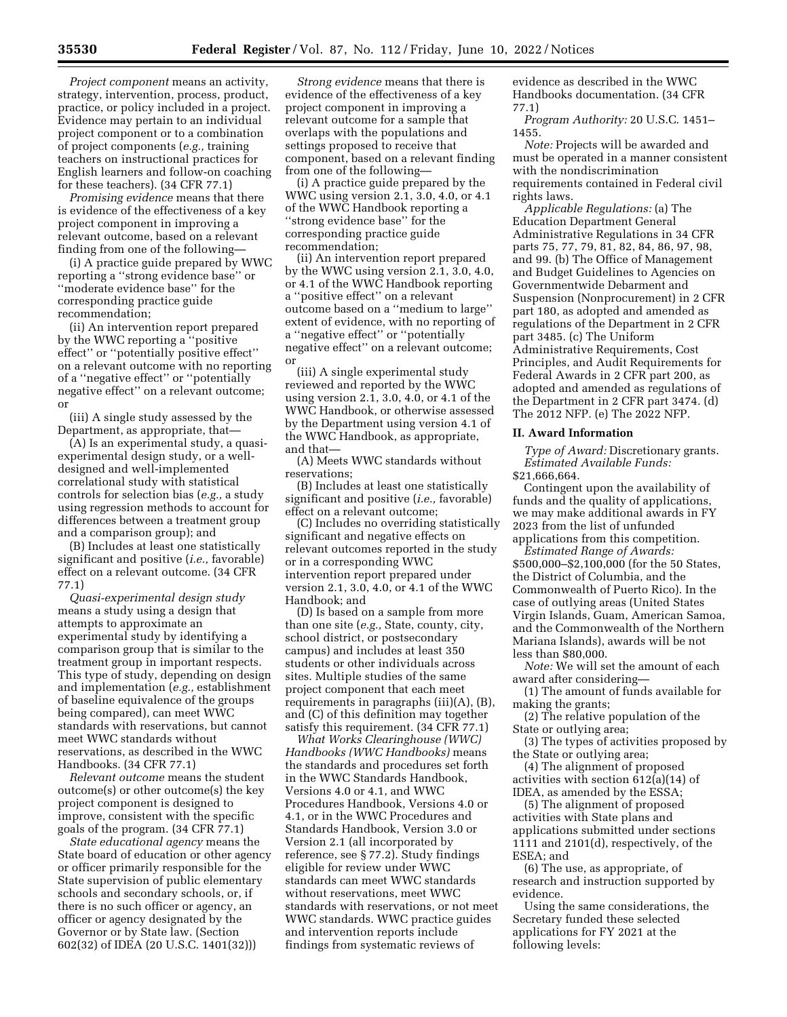*Project component* means an activity, strategy, intervention, process, product, practice, or policy included in a project. Evidence may pertain to an individual project component or to a combination of project components (*e.g.,* training teachers on instructional practices for English learners and follow-on coaching for these teachers). (34 CFR 77.1)

*Promising evidence* means that there is evidence of the effectiveness of a key project component in improving a relevant outcome, based on a relevant finding from one of the following—

(i) A practice guide prepared by WWC reporting a ''strong evidence base'' or ''moderate evidence base'' for the corresponding practice guide recommendation;

(ii) An intervention report prepared by the WWC reporting a ''positive effect'' or ''potentially positive effect'' on a relevant outcome with no reporting of a ''negative effect'' or ''potentially negative effect'' on a relevant outcome; or

(iii) A single study assessed by the Department, as appropriate, that—

(A) Is an experimental study, a quasiexperimental design study, or a welldesigned and well-implemented correlational study with statistical controls for selection bias (*e.g.,* a study using regression methods to account for differences between a treatment group and a comparison group); and

(B) Includes at least one statistically significant and positive (*i.e.,* favorable) effect on a relevant outcome. (34 CFR 77.1)

*Quasi-experimental design study*  means a study using a design that attempts to approximate an experimental study by identifying a comparison group that is similar to the treatment group in important respects. This type of study, depending on design and implementation (*e.g.,* establishment of baseline equivalence of the groups being compared), can meet WWC standards with reservations, but cannot meet WWC standards without reservations, as described in the WWC Handbooks. (34 CFR 77.1)

*Relevant outcome* means the student outcome(s) or other outcome(s) the key project component is designed to improve, consistent with the specific goals of the program. (34 CFR 77.1)

*State educational agency* means the State board of education or other agency or officer primarily responsible for the State supervision of public elementary schools and secondary schools, or, if there is no such officer or agency, an officer or agency designated by the Governor or by State law. (Section 602(32) of IDEA (20 U.S.C. 1401(32)))

*Strong evidence* means that there is evidence of the effectiveness of a key project component in improving a relevant outcome for a sample that overlaps with the populations and settings proposed to receive that component, based on a relevant finding from one of the following—

(i) A practice guide prepared by the WWC using version 2.1, 3.0, 4.0, or 4.1 of the WWC Handbook reporting a ''strong evidence base'' for the corresponding practice guide recommendation;

(ii) An intervention report prepared by the WWC using version 2.1, 3.0, 4.0, or 4.1 of the WWC Handbook reporting a ''positive effect'' on a relevant outcome based on a ''medium to large'' extent of evidence, with no reporting of a ''negative effect'' or ''potentially negative effect'' on a relevant outcome; or

(iii) A single experimental study reviewed and reported by the WWC using version 2.1, 3.0, 4.0, or 4.1 of the WWC Handbook, or otherwise assessed by the Department using version 4.1 of the WWC Handbook, as appropriate, and that—

(A) Meets WWC standards without reservations;

(B) Includes at least one statistically significant and positive (*i.e.,* favorable) effect on a relevant outcome;

(C) Includes no overriding statistically significant and negative effects on relevant outcomes reported in the study or in a corresponding WWC intervention report prepared under version 2.1, 3.0, 4.0, or 4.1 of the WWC Handbook; and

(D) Is based on a sample from more than one site (*e.g.,* State, county, city, school district, or postsecondary campus) and includes at least 350 students or other individuals across sites. Multiple studies of the same project component that each meet requirements in paragraphs (iii)(A), (B), and (C) of this definition may together satisfy this requirement. (34 CFR 77.1)

*What Works Clearinghouse (WWC) Handbooks (WWC Handbooks)* means the standards and procedures set forth in the WWC Standards Handbook, Versions 4.0 or 4.1, and WWC Procedures Handbook, Versions 4.0 or 4.1, or in the WWC Procedures and Standards Handbook, Version 3.0 or Version 2.1 (all incorporated by reference, see § 77.2). Study findings eligible for review under WWC standards can meet WWC standards without reservations, meet WWC standards with reservations, or not meet WWC standards. WWC practice guides and intervention reports include findings from systematic reviews of

evidence as described in the WWC Handbooks documentation. (34 CFR 77.1)

*Program Authority:* 20 U.S.C. 1451– 1455.

*Note:* Projects will be awarded and must be operated in a manner consistent with the nondiscrimination requirements contained in Federal civil rights laws.

*Applicable Regulations:* (a) The Education Department General Administrative Regulations in 34 CFR parts 75, 77, 79, 81, 82, 84, 86, 97, 98, and 99. (b) The Office of Management and Budget Guidelines to Agencies on Governmentwide Debarment and Suspension (Nonprocurement) in 2 CFR part 180, as adopted and amended as regulations of the Department in 2 CFR part 3485. (c) The Uniform Administrative Requirements, Cost Principles, and Audit Requirements for Federal Awards in 2 CFR part 200, as adopted and amended as regulations of the Department in 2 CFR part 3474. (d) The 2012 NFP. (e) The 2022 NFP.

#### **II. Award Information**

*Type of Award:* Discretionary grants. *Estimated Available Funds:*  \$21,666,664.

Contingent upon the availability of funds and the quality of applications, we may make additional awards in FY 2023 from the list of unfunded applications from this competition.

*Estimated Range of Awards:* 

\$500,000–\$2,100,000 (for the 50 States, the District of Columbia, and the Commonwealth of Puerto Rico). In the case of outlying areas (United States Virgin Islands, Guam, American Samoa, and the Commonwealth of the Northern Mariana Islands), awards will be not less than \$80,000.

*Note:* We will set the amount of each award after considering—

(1) The amount of funds available for making the grants;

(2) The relative population of the State or outlying area;

(3) The types of activities proposed by the State or outlying area;

(4) The alignment of proposed activities with section 612(a)(14) of IDEA, as amended by the ESSA;

(5) The alignment of proposed activities with State plans and applications submitted under sections 1111 and 2101(d), respectively, of the ESEA; and

(6) The use, as appropriate, of research and instruction supported by evidence.

Using the same considerations, the Secretary funded these selected applications for FY 2021 at the following levels: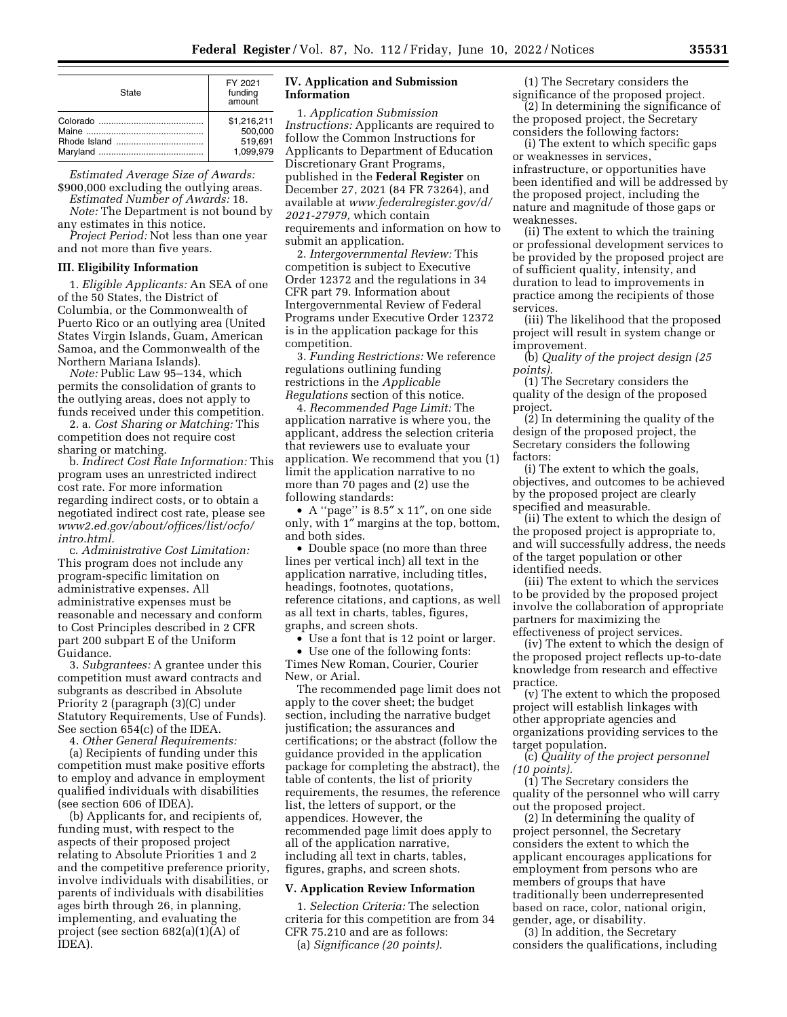| State | FY 2021<br>funding<br>amount |
|-------|------------------------------|
|       | \$1,216,211                  |
|       | 500,000                      |
|       | 519.691                      |
|       | 1.099.979                    |

*Estimated Average Size of Awards:*  \$900,000 excluding the outlying areas.

*Estimated Number of Awards:* 18. *Note:* The Department is not bound by

any estimates in this notice. *Project Period:* Not less than one year

and not more than five years.

# **III. Eligibility Information**

1. *Eligible Applicants:* An SEA of one of the 50 States, the District of Columbia, or the Commonwealth of Puerto Rico or an outlying area (United States Virgin Islands, Guam, American Samoa, and the Commonwealth of the Northern Mariana Islands).

*Note:* Public Law 95–134, which permits the consolidation of grants to the outlying areas, does not apply to funds received under this competition.

2. a. *Cost Sharing or Matching:* This competition does not require cost sharing or matching.

b. *Indirect Cost Rate Information:* This program uses an unrestricted indirect cost rate. For more information regarding indirect costs, or to obtain a negotiated indirect cost rate, please see *[www2.ed.gov/about/offices/list/ocfo/](http://www2.ed.gov/about/offices/list/ocfo/intro.html)  [intro.html.](http://www2.ed.gov/about/offices/list/ocfo/intro.html)* 

c. *Administrative Cost Limitation:*  This program does not include any program-specific limitation on administrative expenses. All administrative expenses must be reasonable and necessary and conform to Cost Principles described in 2 CFR part 200 subpart E of the Uniform Guidance.

3. *Subgrantees:* A grantee under this competition must award contracts and subgrants as described in Absolute Priority 2 (paragraph (3)(C) under Statutory Requirements, Use of Funds). See section 654(c) of the IDEA.

4. *Other General Requirements:* 

(a) Recipients of funding under this competition must make positive efforts to employ and advance in employment qualified individuals with disabilities (see section 606 of IDEA).

(b) Applicants for, and recipients of, funding must, with respect to the aspects of their proposed project relating to Absolute Priorities 1 and 2 and the competitive preference priority, involve individuals with disabilities, or parents of individuals with disabilities ages birth through 26, in planning, implementing, and evaluating the project (see section 682(a)(1)(A) of IDEA).

### **IV. Application and Submission Information**

1. *Application Submission Instructions:* Applicants are required to follow the Common Instructions for Applicants to Department of Education Discretionary Grant Programs, published in the **Federal Register** on December 27, 2021 (84 FR 73264), and available at *[www.federalregister.gov/d/](http://www.federalregister.gov/d/2021-27979)  [2021-27979,](http://www.federalregister.gov/d/2021-27979)* which contain requirements and information on how to submit an application.

2. *Intergovernmental Review:* This competition is subject to Executive Order 12372 and the regulations in 34 CFR part 79. Information about Intergovernmental Review of Federal Programs under Executive Order 12372 is in the application package for this competition.

3. *Funding Restrictions:* We reference regulations outlining funding restrictions in the *Applicable Regulations* section of this notice.

4. *Recommended Page Limit:* The application narrative is where you, the applicant, address the selection criteria that reviewers use to evaluate your application. We recommend that you (1) limit the application narrative to no more than 70 pages and (2) use the following standards:

• A ''page'' is 8.5″ x 11″, on one side only, with 1″ margins at the top, bottom, and both sides.

• Double space (no more than three lines per vertical inch) all text in the application narrative, including titles, headings, footnotes, quotations, reference citations, and captions, as well as all text in charts, tables, figures, graphs, and screen shots.

• Use a font that is 12 point or larger.

• Use one of the following fonts: Times New Roman, Courier, Courier New, or Arial.

The recommended page limit does not apply to the cover sheet; the budget section, including the narrative budget justification; the assurances and certifications; or the abstract (follow the guidance provided in the application package for completing the abstract), the table of contents, the list of priority requirements, the resumes, the reference list, the letters of support, or the appendices. However, the recommended page limit does apply to all of the application narrative, including all text in charts, tables, figures, graphs, and screen shots.

#### **V. Application Review Information**

1. *Selection Criteria:* The selection criteria for this competition are from 34 CFR 75.210 and are as follows: (a) *Significance (20 points).* 

(1) The Secretary considers the significance of the proposed project.

(2) In determining the significance of the proposed project, the Secretary considers the following factors:

(i) The extent to which specific gaps or weaknesses in services, infrastructure, or opportunities have been identified and will be addressed by the proposed project, including the nature and magnitude of those gaps or weaknesses.

(ii) The extent to which the training or professional development services to be provided by the proposed project are of sufficient quality, intensity, and duration to lead to improvements in practice among the recipients of those services.

(iii) The likelihood that the proposed project will result in system change or improvement.

(b) *Quality of the project design (25 points).* 

(1) The Secretary considers the quality of the design of the proposed project.

(2) In determining the quality of the design of the proposed project, the Secretary considers the following factors:

(i) The extent to which the goals, objectives, and outcomes to be achieved by the proposed project are clearly specified and measurable.

(ii) The extent to which the design of the proposed project is appropriate to, and will successfully address, the needs of the target population or other identified needs.

(iii) The extent to which the services to be provided by the proposed project involve the collaboration of appropriate partners for maximizing the effectiveness of project services.

(iv) The extent to which the design of the proposed project reflects up-to-date knowledge from research and effective practice.

(v) The extent to which the proposed project will establish linkages with other appropriate agencies and organizations providing services to the target population.

(c) *Quality of the project personnel (10 points).* 

(1) The Secretary considers the quality of the personnel who will carry out the proposed project.

(2) In determining the quality of project personnel, the Secretary considers the extent to which the applicant encourages applications for employment from persons who are members of groups that have traditionally been underrepresented based on race, color, national origin, gender, age, or disability.

(3) In addition, the Secretary considers the qualifications, including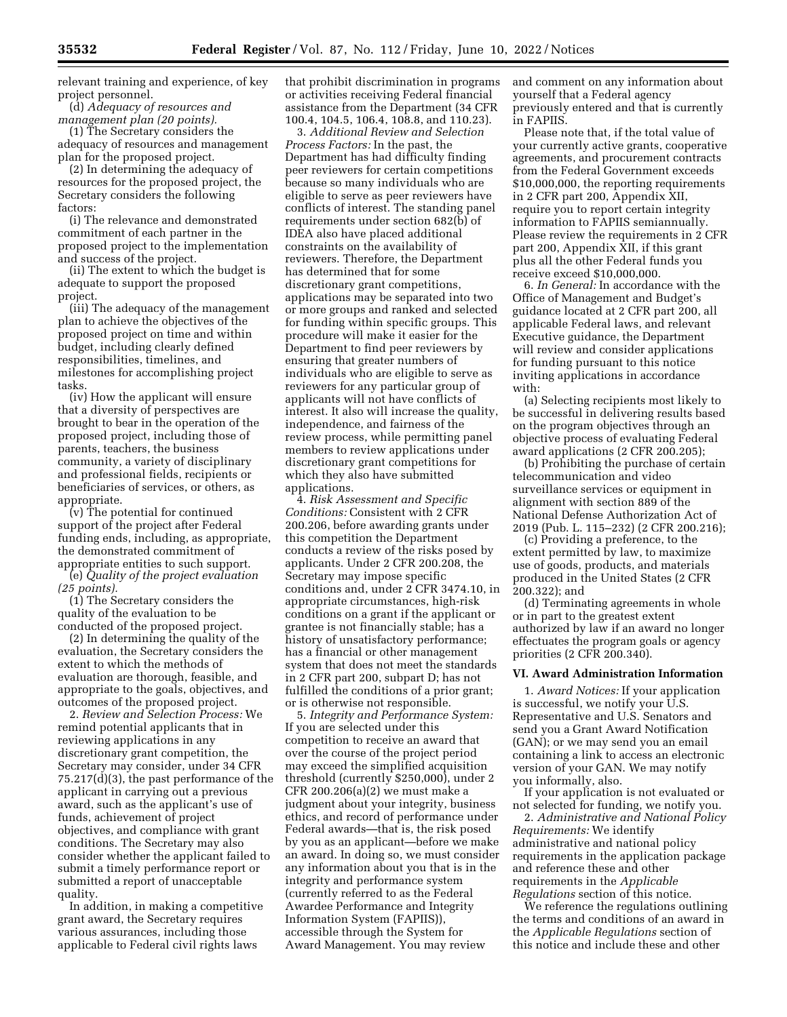relevant training and experience, of key project personnel.

(d) *Adequacy of resources and management plan (20 points).* 

(1) The Secretary considers the adequacy of resources and management plan for the proposed project.

(2) In determining the adequacy of resources for the proposed project, the Secretary considers the following factors:

(i) The relevance and demonstrated commitment of each partner in the proposed project to the implementation and success of the project.

(ii) The extent to which the budget is adequate to support the proposed project.

(iii) The adequacy of the management plan to achieve the objectives of the proposed project on time and within budget, including clearly defined responsibilities, timelines, and milestones for accomplishing project tasks.

(iv) How the applicant will ensure that a diversity of perspectives are brought to bear in the operation of the proposed project, including those of parents, teachers, the business community, a variety of disciplinary and professional fields, recipients or beneficiaries of services, or others, as appropriate.

(v) The potential for continued support of the project after Federal funding ends, including, as appropriate, the demonstrated commitment of appropriate entities to such support.

(e) *Quality of the project evaluation (25 points).* 

(1) The Secretary considers the quality of the evaluation to be conducted of the proposed project.

(2) In determining the quality of the evaluation, the Secretary considers the extent to which the methods of evaluation are thorough, feasible, and appropriate to the goals, objectives, and outcomes of the proposed project.

2. *Review and Selection Process:* We remind potential applicants that in reviewing applications in any discretionary grant competition, the Secretary may consider, under 34 CFR 75.217(d)(3), the past performance of the applicant in carrying out a previous award, such as the applicant's use of funds, achievement of project objectives, and compliance with grant conditions. The Secretary may also consider whether the applicant failed to submit a timely performance report or submitted a report of unacceptable quality.

In addition, in making a competitive grant award, the Secretary requires various assurances, including those applicable to Federal civil rights laws

that prohibit discrimination in programs or activities receiving Federal financial assistance from the Department (34 CFR 100.4, 104.5, 106.4, 108.8, and 110.23).

3. *Additional Review and Selection Process Factors:* In the past, the Department has had difficulty finding peer reviewers for certain competitions because so many individuals who are eligible to serve as peer reviewers have conflicts of interest. The standing panel requirements under section 682(b) of IDEA also have placed additional constraints on the availability of reviewers. Therefore, the Department has determined that for some discretionary grant competitions, applications may be separated into two or more groups and ranked and selected for funding within specific groups. This procedure will make it easier for the Department to find peer reviewers by ensuring that greater numbers of individuals who are eligible to serve as reviewers for any particular group of applicants will not have conflicts of interest. It also will increase the quality, independence, and fairness of the review process, while permitting panel members to review applications under discretionary grant competitions for which they also have submitted applications.

4. *Risk Assessment and Specific Conditions:* Consistent with 2 CFR 200.206, before awarding grants under this competition the Department conducts a review of the risks posed by applicants. Under 2 CFR 200.208, the Secretary may impose specific conditions and, under 2 CFR 3474.10, in appropriate circumstances, high-risk conditions on a grant if the applicant or grantee is not financially stable; has a history of unsatisfactory performance; has a financial or other management system that does not meet the standards in 2 CFR part 200, subpart D; has not fulfilled the conditions of a prior grant; or is otherwise not responsible.

5. *Integrity and Performance System:*  If you are selected under this competition to receive an award that over the course of the project period may exceed the simplified acquisition threshold (currently \$250,000), under 2 CFR 200.206(a)(2) we must make a judgment about your integrity, business ethics, and record of performance under Federal awards—that is, the risk posed by you as an applicant—before we make an award. In doing so, we must consider any information about you that is in the integrity and performance system (currently referred to as the Federal Awardee Performance and Integrity Information System (FAPIIS)), accessible through the System for Award Management. You may review

and comment on any information about yourself that a Federal agency previously entered and that is currently in FAPIIS.

Please note that, if the total value of your currently active grants, cooperative agreements, and procurement contracts from the Federal Government exceeds \$10,000,000, the reporting requirements in 2 CFR part 200, Appendix XII, require you to report certain integrity information to FAPIIS semiannually. Please review the requirements in 2 CFR part 200, Appendix XII, if this grant plus all the other Federal funds you receive exceed \$10,000,000.

6. *In General:* In accordance with the Office of Management and Budget's guidance located at 2 CFR part 200, all applicable Federal laws, and relevant Executive guidance, the Department will review and consider applications for funding pursuant to this notice inviting applications in accordance with:

(a) Selecting recipients most likely to be successful in delivering results based on the program objectives through an objective process of evaluating Federal award applications (2 CFR 200.205);

(b) Prohibiting the purchase of certain telecommunication and video surveillance services or equipment in alignment with section 889 of the National Defense Authorization Act of 2019 (Pub. L. 115–232) (2 CFR 200.216);

(c) Providing a preference, to the extent permitted by law, to maximize use of goods, products, and materials produced in the United States (2 CFR 200.322); and

(d) Terminating agreements in whole or in part to the greatest extent authorized by law if an award no longer effectuates the program goals or agency priorities (2 CFR 200.340).

#### **VI. Award Administration Information**

1. *Award Notices:* If your application is successful, we notify your U.S. Representative and U.S. Senators and send you a Grant Award Notification (GAN); or we may send you an email containing a link to access an electronic version of your GAN. We may notify you informally, also.

If your application is not evaluated or not selected for funding, we notify you.

2. *Administrative and National Policy Requirements:* We identify administrative and national policy requirements in the application package and reference these and other requirements in the *Applicable Regulations* section of this notice.

We reference the regulations outlining the terms and conditions of an award in the *Applicable Regulations* section of this notice and include these and other